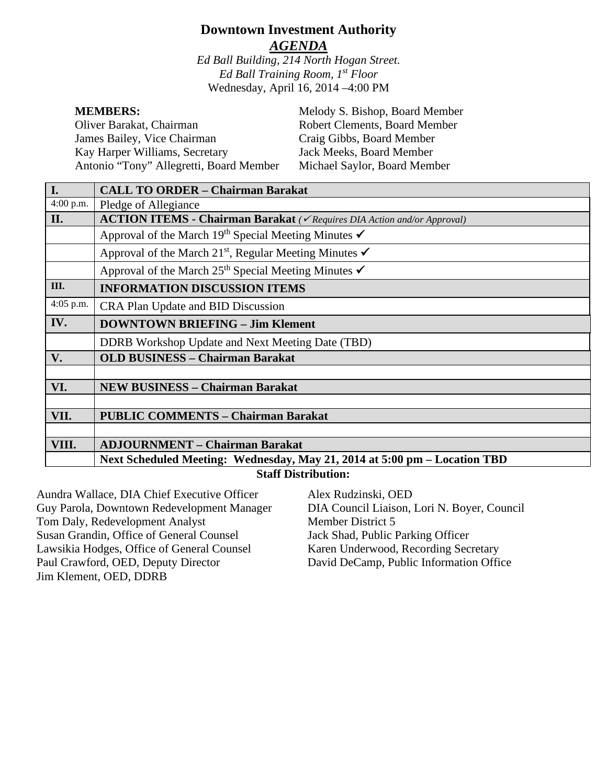# **Downtown Investment Authority** *AGENDA*

*Ed Ball Building, 214 North Hogan Street. Ed Ball Training Room, 1st Floor* Wednesday, April 16, 2014 –4:00 PM

| <b>MEMBERS:</b>                         | Melody S. Bishop, Board Member       |
|-----------------------------------------|--------------------------------------|
| Oliver Barakat, Chairman                | <b>Robert Clements, Board Member</b> |
| James Bailey, Vice Chairman             | Craig Gibbs, Board Member            |
| Kay Harper Williams, Secretary          | Jack Meeks, Board Member             |
| Antonio "Tony" Allegretti, Board Member | Michael Saylor, Board Member         |

| I.                                        | <b>CALL TO ORDER - Chairman Barakat</b>                                                    |  |
|-------------------------------------------|--------------------------------------------------------------------------------------------|--|
| 4:00 p.m.                                 | Pledge of Allegiance                                                                       |  |
| II.                                       | <b>ACTION ITEMS - Chairman Barakat</b> ( $\checkmark$ Requires DIA Action and/or Approval) |  |
|                                           | Approval of the March 19 <sup>th</sup> Special Meeting Minutes $\checkmark$                |  |
|                                           | Approval of the March 21 <sup>st</sup> , Regular Meeting Minutes $\checkmark$              |  |
|                                           | Approval of the March 25 <sup>th</sup> Special Meeting Minutes $\checkmark$                |  |
| Ш.                                        | <b>INFORMATION DISCUSSION ITEMS</b>                                                        |  |
| 4:05 p.m.                                 | CRA Plan Update and BID Discussion                                                         |  |
| IV.                                       | <b>DOWNTOWN BRIEFING - Jim Klement</b>                                                     |  |
|                                           | <b>DDRB</b> Workshop Update and Next Meeting Date (TBD)                                    |  |
| V.                                        | <b>OLD BUSINESS - Chairman Barakat</b>                                                     |  |
|                                           |                                                                                            |  |
| VI.                                       | <b>NEW BUSINESS - Chairman Barakat</b>                                                     |  |
|                                           |                                                                                            |  |
| VII.                                      | <b>PUBLIC COMMENTS - Chairman Barakat</b>                                                  |  |
|                                           |                                                                                            |  |
| VIII.                                     | <b>ADJOURNMENT – Chairman Barakat</b>                                                      |  |
|                                           | Next Scheduled Meeting: Wednesday, May 21, 2014 at 5:00 pm – Location TBD                  |  |
| $\alpha$ of $\mathbf{D}$ and $\mathbf{L}$ |                                                                                            |  |

#### **Staff Distribution:**

Aundra Wallace, DIA Chief Executive Officer Guy Parola, Downtown Redevelopment Manager Tom Daly, Redevelopment Analyst Susan Grandin, Office of General Counsel Lawsikia Hodges, Office of General Counsel Paul Crawford, OED, Deputy Director Jim Klement, OED, DDRB

Alex Rudzinski, OED DIA Council Liaison, Lori N. Boyer, Council Member District 5 Jack Shad, Public Parking Officer Karen Underwood, Recording Secretary David DeCamp, Public Information Office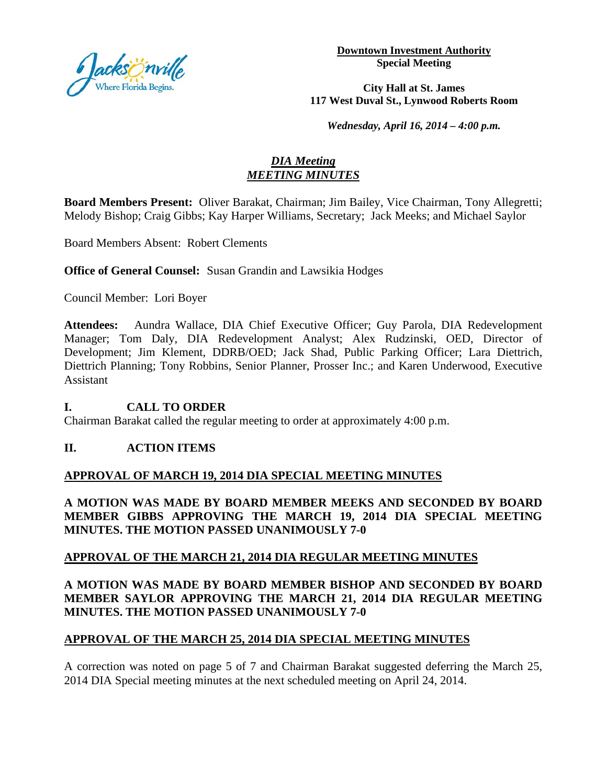

**Downtown Investment Authority Special Meeting** 

**City Hall at St. James 117 West Duval St., Lynwood Roberts Room**

*Wednesday, April 16, 2014 – 4:00 p.m.*

## *DIA Meeting MEETING MINUTES*

**Board Members Present:** Oliver Barakat, Chairman; Jim Bailey, Vice Chairman, Tony Allegretti; Melody Bishop; Craig Gibbs; Kay Harper Williams, Secretary; Jack Meeks; and Michael Saylor

Board Members Absent: Robert Clements

**Office of General Counsel:** Susan Grandin and Lawsikia Hodges

Council Member: Lori Boyer

**Attendees:** Aundra Wallace, DIA Chief Executive Officer; Guy Parola, DIA Redevelopment Manager; Tom Daly, DIA Redevelopment Analyst; Alex Rudzinski, OED, Director of Development; Jim Klement, DDRB/OED; Jack Shad, Public Parking Officer; Lara Diettrich, Diettrich Planning; Tony Robbins, Senior Planner, Prosser Inc.; and Karen Underwood, Executive Assistant

## **I. CALL TO ORDER**

Chairman Barakat called the regular meeting to order at approximately 4:00 p.m.

#### **II. ACTION ITEMS**

## **APPROVAL OF MARCH 19, 2014 DIA SPECIAL MEETING MINUTES**

**A MOTION WAS MADE BY BOARD MEMBER MEEKS AND SECONDED BY BOARD MEMBER GIBBS APPROVING THE MARCH 19, 2014 DIA SPECIAL MEETING MINUTES. THE MOTION PASSED UNANIMOUSLY 7-0** 

## **APPROVAL OF THE MARCH 21, 2014 DIA REGULAR MEETING MINUTES**

## **A MOTION WAS MADE BY BOARD MEMBER BISHOP AND SECONDED BY BOARD MEMBER SAYLOR APPROVING THE MARCH 21, 2014 DIA REGULAR MEETING MINUTES. THE MOTION PASSED UNANIMOUSLY 7-0**

## **APPROVAL OF THE MARCH 25, 2014 DIA SPECIAL MEETING MINUTES**

A correction was noted on page 5 of 7 and Chairman Barakat suggested deferring the March 25, 2014 DIA Special meeting minutes at the next scheduled meeting on April 24, 2014.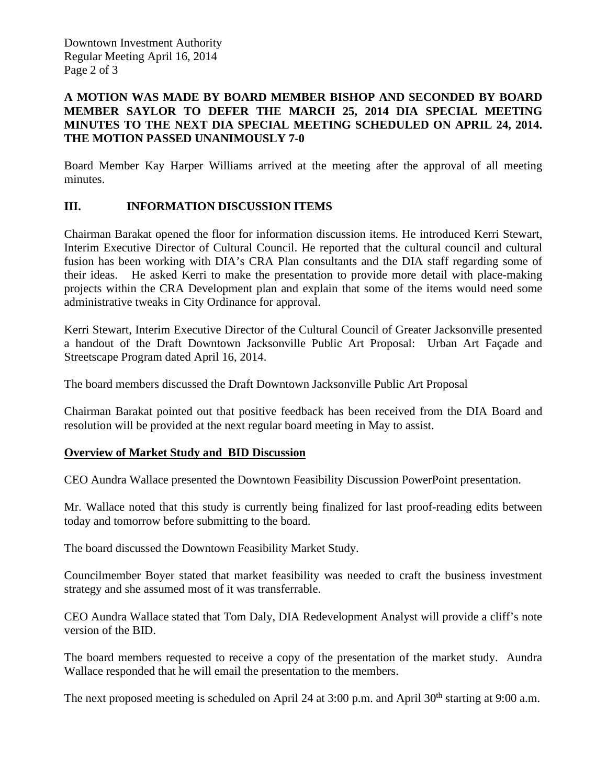Downtown Investment Authority Regular Meeting April 16, 2014 Page 2 of 3

#### **A MOTION WAS MADE BY BOARD MEMBER BISHOP AND SECONDED BY BOARD MEMBER SAYLOR TO DEFER THE MARCH 25, 2014 DIA SPECIAL MEETING MINUTES TO THE NEXT DIA SPECIAL MEETING SCHEDULED ON APRIL 24, 2014. THE MOTION PASSED UNANIMOUSLY 7-0**

Board Member Kay Harper Williams arrived at the meeting after the approval of all meeting minutes.

## **III. INFORMATION DISCUSSION ITEMS**

Chairman Barakat opened the floor for information discussion items. He introduced Kerri Stewart, Interim Executive Director of Cultural Council. He reported that the cultural council and cultural fusion has been working with DIA's CRA Plan consultants and the DIA staff regarding some of their ideas. He asked Kerri to make the presentation to provide more detail with place-making projects within the CRA Development plan and explain that some of the items would need some administrative tweaks in City Ordinance for approval.

Kerri Stewart, Interim Executive Director of the Cultural Council of Greater Jacksonville presented a handout of the Draft Downtown Jacksonville Public Art Proposal: Urban Art Façade and Streetscape Program dated April 16, 2014.

The board members discussed the Draft Downtown Jacksonville Public Art Proposal

Chairman Barakat pointed out that positive feedback has been received from the DIA Board and resolution will be provided at the next regular board meeting in May to assist.

#### **Overview of Market Study and BID Discussion**

CEO Aundra Wallace presented the Downtown Feasibility Discussion PowerPoint presentation.

Mr. Wallace noted that this study is currently being finalized for last proof-reading edits between today and tomorrow before submitting to the board.

The board discussed the Downtown Feasibility Market Study.

Councilmember Boyer stated that market feasibility was needed to craft the business investment strategy and she assumed most of it was transferrable.

CEO Aundra Wallace stated that Tom Daly, DIA Redevelopment Analyst will provide a cliff's note version of the BID.

The board members requested to receive a copy of the presentation of the market study. Aundra Wallace responded that he will email the presentation to the members.

The next proposed meeting is scheduled on April 24 at 3:00 p.m. and April 30<sup>th</sup> starting at 9:00 a.m.